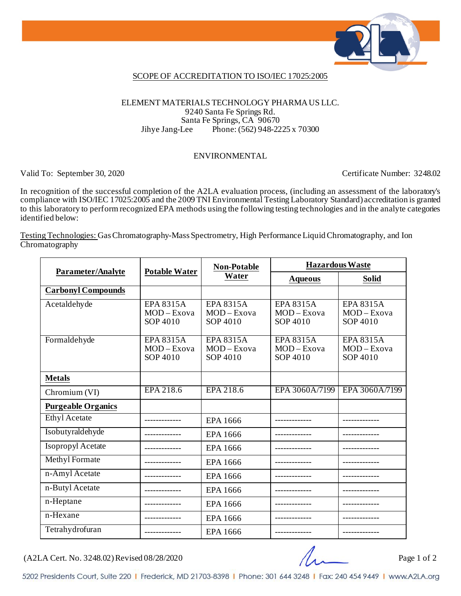

### SCOPE OF ACCREDITATION TO ISO/IEC 17025:2005

### ELEMENT MATERIALS TECHNOLOGY PHARMA US LLC. 9240 Santa Fe Springs Rd. Santa Fe Springs, CA 90670<br>Jihye Jang-Lee Phone: (562) 948-22 Phone: (562) 948-2225 x 70300

#### ENVIRONMENTAL

Valid To: September 30, 2020 Certificate Number: 3248.02

In recognition of the successful completion of the A2LA evaluation process, (including an assessment of the laboratory's compliance with ISO/IEC 17025:2005 and the 2009 TNI Environmental Testing Laboratory Standard) accreditation is granted to this laboratory to perform recognized EPA methods using the following testing technologies and in the analyte categories identified below:

Testing Technologies: Gas Chromatography-Mass Spectrometry, High Performance Liquid Chromatography, and Ion Chromatography

| Parameter/Analyte         | <b>Potable Water</b>                          | <b>Non-Potable</b><br>Water               | <b>Hazardous Waste</b>                    |                                           |
|---------------------------|-----------------------------------------------|-------------------------------------------|-------------------------------------------|-------------------------------------------|
|                           |                                               |                                           | <b>Aqueous</b>                            | <b>Solid</b>                              |
| <b>Carbonyl Compounds</b> |                                               |                                           |                                           |                                           |
| Acetaldehyde              | <b>EPA 8315A</b><br>MOD-Exova<br>SOP 4010     | EPA 8315A<br>MOD-Exova<br>SOP 4010        | <b>EPA 8315A</b><br>MOD-Exova<br>SOP 4010 | <b>EPA 8315A</b><br>MOD-Exova<br>SOP 4010 |
| Formaldehyde              | <b>EPA 8315A</b><br>$MOD - Exova$<br>SOP 4010 | <b>EPA 8315A</b><br>MOD-Exova<br>SOP 4010 | <b>EPA 8315A</b><br>MOD-Exova<br>SOP 4010 | <b>EPA 8315A</b><br>MOD-Exova<br>SOP 4010 |
| <b>Metals</b>             |                                               |                                           |                                           |                                           |
| Chromium (VI)             | EPA 218.6                                     | EPA 218.6                                 | EPA 3060A/7199                            | EPA 3060A/7199                            |
| <b>Purgeable Organics</b> |                                               |                                           |                                           |                                           |
| <b>Ethyl Acetate</b>      |                                               | EPA 1666                                  |                                           |                                           |
| Isobutyraldehyde          |                                               | EPA 1666                                  |                                           |                                           |
| <b>Isopropyl Acetate</b>  |                                               | EPA 1666                                  |                                           |                                           |
| Methyl Formate            |                                               | EPA 1666                                  |                                           |                                           |
| n-Amyl Acetate            |                                               | EPA 1666                                  |                                           |                                           |
| n-Butyl Acetate           |                                               | EPA 1666                                  |                                           |                                           |
| n-Heptane                 |                                               | EPA 1666                                  |                                           |                                           |
| n-Hexane                  |                                               | EPA 1666                                  |                                           |                                           |
| Tetrahydrofuran           |                                               | EPA 1666                                  |                                           |                                           |

 $(A2LA$  Cert. No. 3248.02) Revised 08/28/2020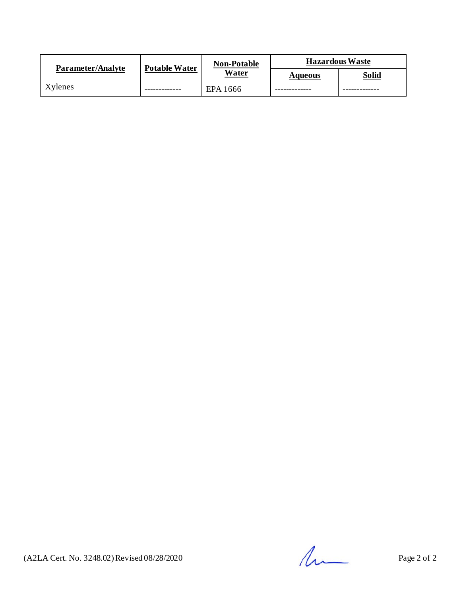| Parameter/Analyte | <b>Potable Water</b> | <b>Non-Potable</b><br>Water | <b>Hazardous Waste</b> |              |
|-------------------|----------------------|-----------------------------|------------------------|--------------|
|                   |                      |                             | <b>Aqueous</b>         | <b>Solid</b> |
| Xylenes           |                      | EPA 1666                    |                        |              |